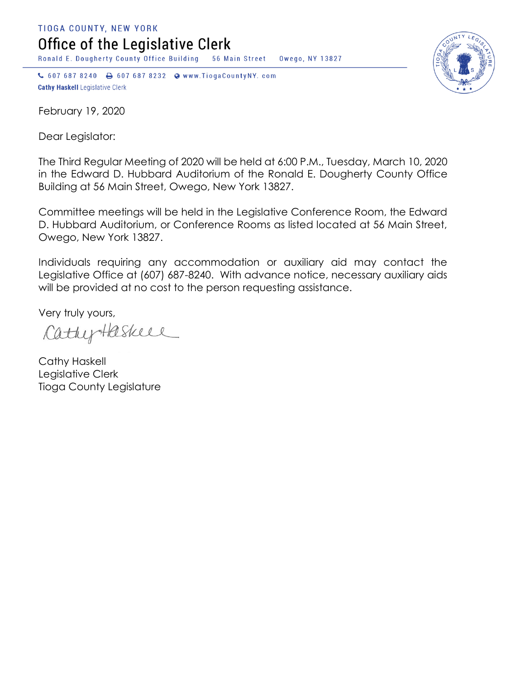TIOGA COUNTY, NEW YORK Office of the Legislative Clerk

Ronald E. Dougherty County Office Building 56 Main Street Owego, NY 13827

↓ 607 687 8240 → 607 687 8232 → www.TiogaCountyNY.com **Cathy Haskell Legislative Clerk** 

February 19, 2020

Dear Legislator:

The Third Regular Meeting of 2020 will be held at 6:00 P.M., Tuesday, March 10, 2020 in the Edward D. Hubbard Auditorium of the Ronald E. Dougherty County Office Building at 56 Main Street, Owego, New York 13827.

Committee meetings will be held in the Legislative Conference Room, the Edward D. Hubbard Auditorium, or Conference Rooms as listed located at 56 Main Street, Owego, New York 13827.

Individuals requiring any accommodation or auxiliary aid may contact the Legislative Office at (607) 687-8240. With advance notice, necessary auxiliary aids will be provided at no cost to the person requesting assistance.

Very truly yours,

CathyHaskell

Cathy Haskell Legislative Clerk Tioga County Legislature